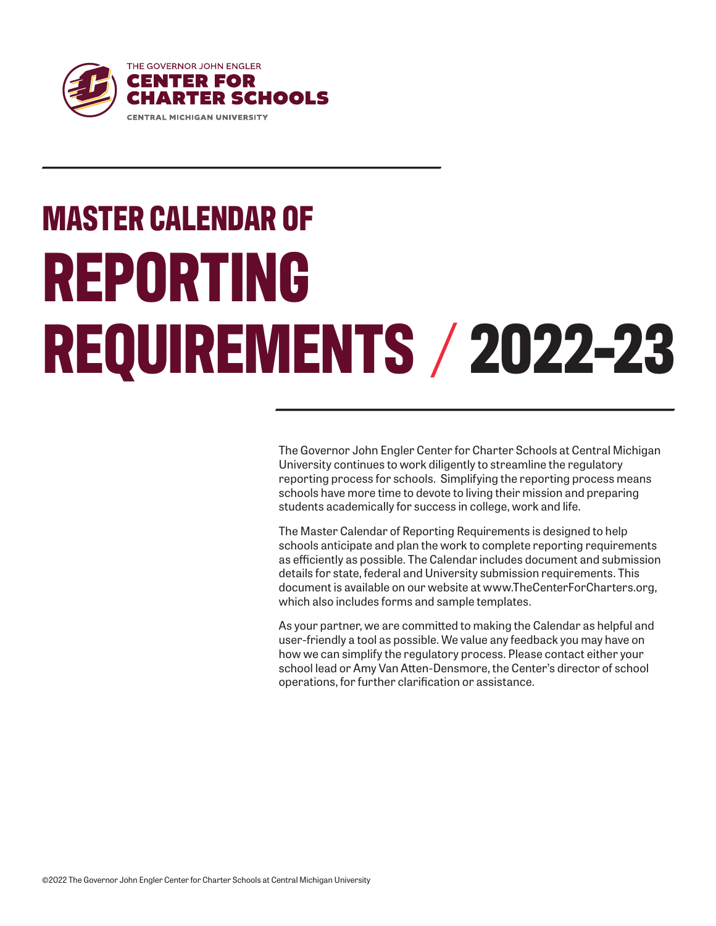

The Governor John Engler Center for Charter Schools at Central Michigan University continues to work diligently to streamline the regulatory reporting process for schools. Simplifying the reporting process means schools have more time to devote to living their mission and preparing students academically for success in college, work and life.

The Master Calendar of Reporting Requirements is designed to help schools anticipate and plan the work to complete reporting requirements as efficiently as possible. The Calendar includes document and submission details for state, federal and University submission requirements. This document is available on our website at www.TheCenterForCharters.org, which also includes forms and sample templates.

As your partner, we are committed to making the Calendar as helpful and user-friendly a tool as possible. We value any feedback you may have on how we can simplify the regulatory process. Please contact either your school lead or Amy Van Atten-Densmore, the Center's director of school operations, for further clarification or assistance.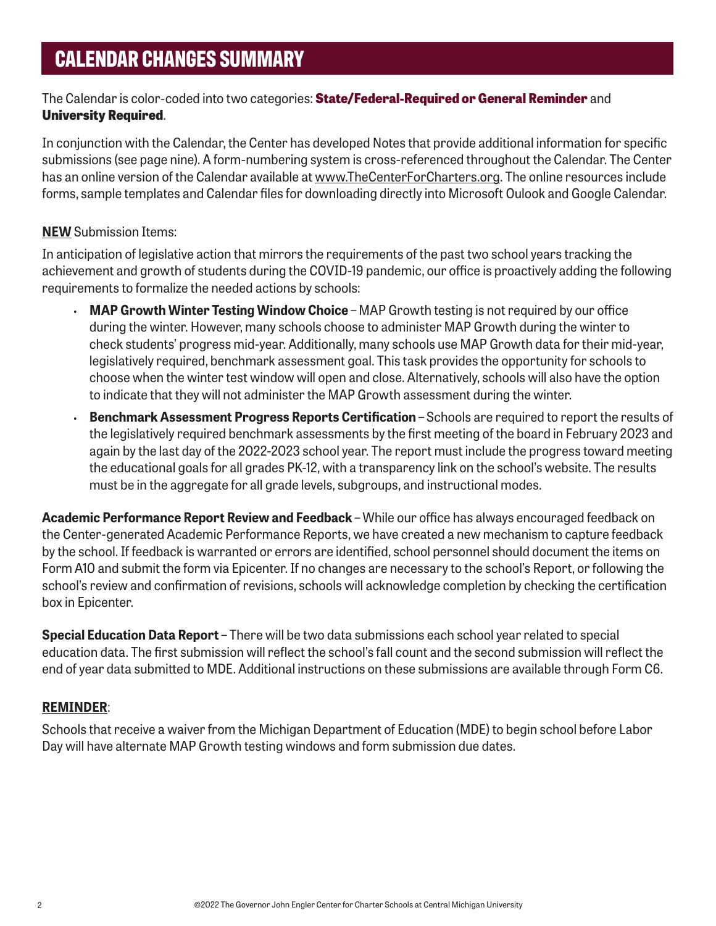### The Calendar is color-coded into two categories: **State/Federal-Required or General Reminder** and **University Required**.

In conjunction with the Calendar, the Center has developed Notes that provide additional information for specific submissions (see page nine). A form-numbering system is cross-referenced throughout the Calendar. The Center has an online version of the Calendar available at [www.TheCenterForCharters.org.](https://www.thecenterforcharters.org/resource-center/administration/master-calendar-of-reporting-requirements/) The online resources include forms, sample templates and Calendar files for downloading directly into Microsoft Oulook and Google Calendar.

#### **NEW** Submission Items:

In anticipation of legislative action that mirrors the requirements of the past two school years tracking the achievement and growth of students during the COVID-19 pandemic, our office is proactively adding the following requirements to formalize the needed actions by schools:

- **MAP Growth Winter Testing Window Choice** MAP Growth testing is not required by our office during the winter. However, many schools choose to administer MAP Growth during the winter to check students' progress mid-year. Additionally, many schools use MAP Growth data for their mid-year, legislatively required, benchmark assessment goal. This task provides the opportunity for schools to choose when the winter test window will open and close. Alternatively, schools will also have the option to indicate that they will not administer the MAP Growth assessment during the winter.
- **Benchmark Assessment Progress Reports Certification Schools are required to report the results of** the legislatively required benchmark assessments by the first meeting of the board in February 2023 and again by the last day of the 2022-2023 school year. The report must include the progress toward meeting the educational goals for all grades PK-12, with a transparency link on the school's website. The results must be in the aggregate for all grade levels, subgroups, and instructional modes.

**Academic Performance Report Review and Feedback** – While our office has always encouraged feedback on the Center-generated Academic Performance Reports, we have created a new mechanism to capture feedback by the school. If feedback is warranted or errors are identified, school personnel should document the items on Form A10 and submit the form via Epicenter. If no changes are necessary to the school's Report, or following the school's review and confirmation of revisions, schools will acknowledge completion by checking the certification box in Epicenter.

**Special Education Data Report** – There will be two data submissions each school year related to special education data. The first submission will reflect the school's fall count and the second submission will reflect the end of year data submitted to MDE. Additional instructions on these submissions are available through Form C6.

### **REMINDER**:

Schools that receive a waiver from the Michigan Department of Education (MDE) to begin school before Labor Day will have alternate MAP Growth testing windows and form submission due dates.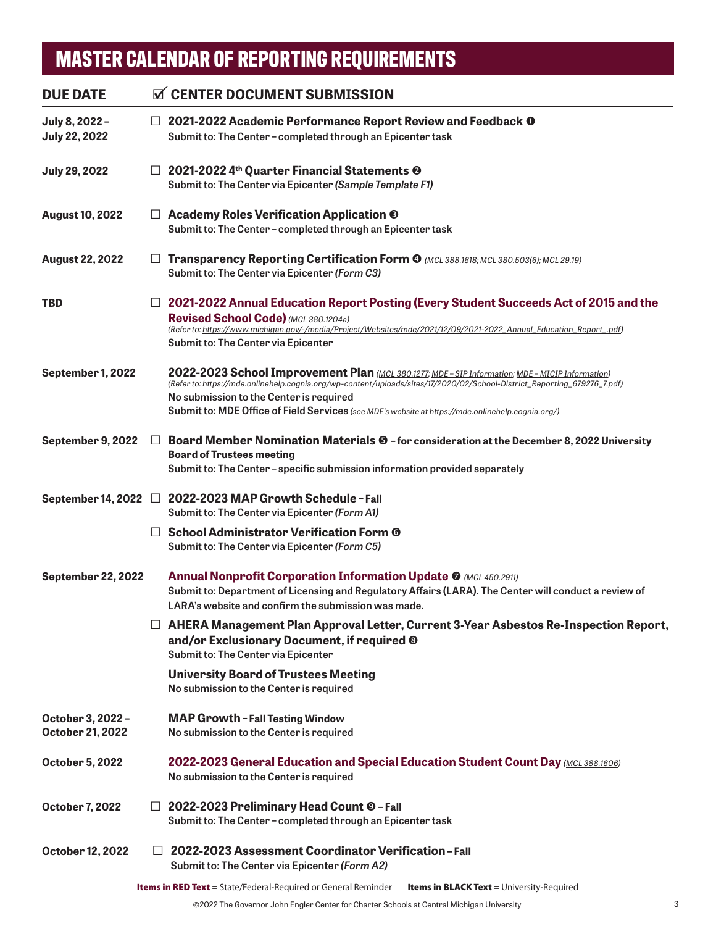| <b>DUE DATE</b>                              |        | <b>N</b> CENTER DOCUMENT SUBMISSION                                                                                                                                                                                                                                                                                                                                          |
|----------------------------------------------|--------|------------------------------------------------------------------------------------------------------------------------------------------------------------------------------------------------------------------------------------------------------------------------------------------------------------------------------------------------------------------------------|
| July 8, 2022-<br><b>July 22, 2022</b>        |        | $\Box$ 2021-2022 Academic Performance Report Review and Feedback $\mathbf 0$<br>Submit to: The Center-completed through an Epicenter task                                                                                                                                                                                                                                    |
| <b>July 29, 2022</b>                         |        | $\Box$ 2021-2022 4 <sup>th</sup> Quarter Financial Statements <sup><math>\odot</math></sup><br>Submit to: The Center via Epicenter (Sample Template F1)                                                                                                                                                                                                                      |
| <b>August 10, 2022</b>                       |        | $\Box$ Academy Roles Verification Application $\odot$<br>Submit to: The Center-completed through an Epicenter task                                                                                                                                                                                                                                                           |
| <b>August 22, 2022</b>                       | ப      | Transparency Reporting Certification Form @ (MCL 388.1618; MCL 380.503(6); MCL 29.19)<br>Submit to: The Center via Epicenter (Form C3)                                                                                                                                                                                                                                       |
| <b>TBD</b>                                   |        | $\Box$ 2021-2022 Annual Education Report Posting (Every Student Succeeds Act of 2015 and the<br>Revised School Code) (MCL 380.1204a)<br>(Refer to: https://www.michigan.gov/-/media/Project/Websites/mde/2021/12/09/2021-2022 Annual Education Report .pdf)<br>Submit to: The Center via Epicenter                                                                           |
| September 1, 2022                            |        | 2022-2023 School Improvement Plan (MCL 380.1277; MDE - SIP Information; MDE - MICIP Information)<br>(Refer to: https://mde.onlinehelp.cognia.org/wp-content/uploads/sites/17/2020/02/School-District_Reporting_679276_7.pdf)<br>No submission to the Center is required<br>Submit to: MDE Office of Field Services (see MDE's website at https://mde.onlinehelp.cognia.org/) |
| September 9, 2022                            | $\Box$ | Board Member Nomination Materials © - for consideration at the December 8, 2022 University<br><b>Board of Trustees meeting</b><br>Submit to: The Center - specific submission information provided separately                                                                                                                                                                |
|                                              |        | September 14, 2022 □ 2022-2023 MAP Growth Schedule - Fall<br>Submit to: The Center via Epicenter (Form A1)                                                                                                                                                                                                                                                                   |
|                                              |        | $\Box$ School Administrator Verification Form ©<br>Submit to: The Center via Epicenter (Form C5)                                                                                                                                                                                                                                                                             |
| <b>September 22, 2022</b>                    |        | <b>Annual Nonprofit Corporation Information Update @</b> (MCL 450.2911)<br>Submit to: Department of Licensing and Regulatory Affairs (LARA). The Center will conduct a review of<br>LARA's website and confirm the submission was made.                                                                                                                                      |
|                                              |        | $\Box$ AHERA Management Plan Approval Letter, Current 3-Year Asbestos Re-Inspection Report,<br>and/or Exclusionary Document, if required <sup>®</sup><br>Submit to: The Center via Epicenter                                                                                                                                                                                 |
|                                              |        | <b>University Board of Trustees Meeting</b><br>No submission to the Center is required                                                                                                                                                                                                                                                                                       |
| October 3, 2022 -<br><b>October 21, 2022</b> |        | <b>MAP Growth - Fall Testing Window</b><br>No submission to the Center is required                                                                                                                                                                                                                                                                                           |
| October 5, 2022                              |        | <b>2022-2023 General Education and Special Education Student Count Day (MCL 388.1606)</b><br>No submission to the Center is required                                                                                                                                                                                                                                         |
| <b>October 7, 2022</b>                       |        | □ 2022-2023 Preliminary Head Count © - Fall<br>Submit to: The Center - completed through an Epicenter task                                                                                                                                                                                                                                                                   |
| October 12, 2022                             | Ш      | 2022-2023 Assessment Coordinator Verification-Fall<br>Submit to: The Center via Epicenter (Form A2)                                                                                                                                                                                                                                                                          |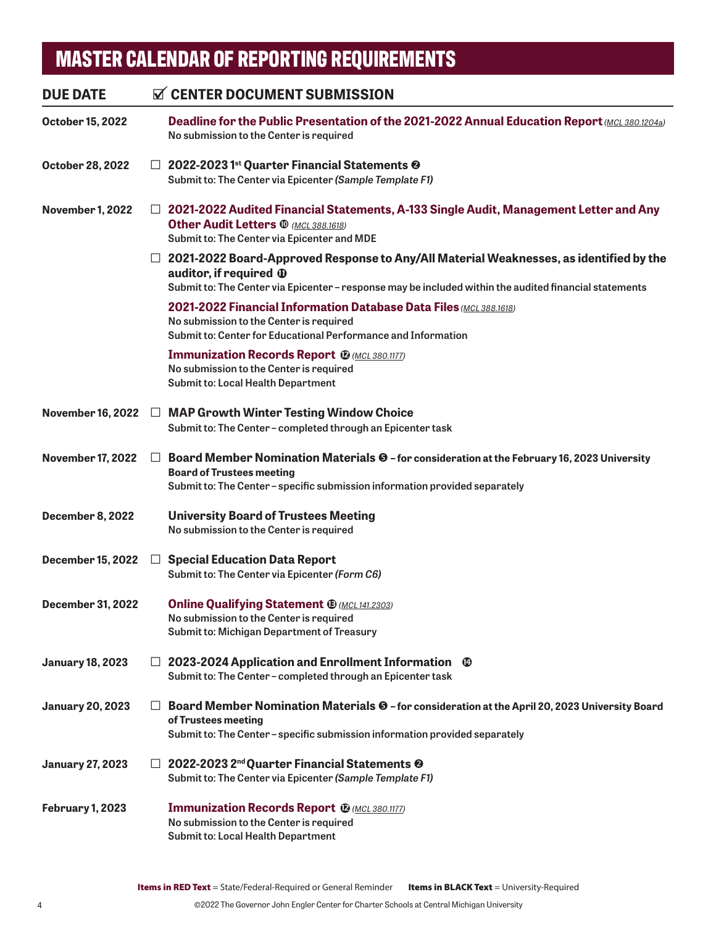| <b>DUE DATE</b>          |         | <b>N</b> CENTER DOCUMENT SUBMISSION                                                                                                                                                                                                    |
|--------------------------|---------|----------------------------------------------------------------------------------------------------------------------------------------------------------------------------------------------------------------------------------------|
| October 15, 2022         |         | Deadline for the Public Presentation of the 2021-2022 Annual Education Report (MCL 380.1204a)<br>No submission to the Center is required                                                                                               |
| October 28, 2022         |         | $\Box$ 2022-2023 1st Quarter Financial Statements $\odot$<br>Submit to: The Center via Epicenter (Sample Template F1)                                                                                                                  |
| <b>November 1, 2022</b>  |         | □ 2021-2022 Audited Financial Statements, A-133 Single Audit, Management Letter and Any<br><b>Other Audit Letters @ (MCL 388.1618)</b><br>Submit to: The Center via Epicenter and MDE                                                  |
|                          |         | $\Box$ 2021-2022 Board-Approved Response to Any/All Material Weaknesses, as identified by the<br>auditor, if required $\Phi$<br>Submit to: The Center via Epicenter - response may be included within the audited financial statements |
|                          |         | 2021-2022 Financial Information Database Data Files (MCL 388.1618)<br>No submission to the Center is required<br>Submit to: Center for Educational Performance and Information                                                         |
|                          |         | <b>Immunization Records Report @ (MCL 380.1177)</b><br>No submission to the Center is required<br><b>Submit to: Local Health Department</b>                                                                                            |
|                          |         | November 16, 2022 □ MAP Growth Winter Testing Window Choice<br>Submit to: The Center-completed through an Epicenter task                                                                                                               |
| <b>November 17, 2022</b> | $\Box$  | Board Member Nomination Materials $\Theta$ - for consideration at the February 16, 2023 University<br><b>Board of Trustees meeting</b><br>Submit to: The Center - specific submission information provided separately                  |
| <b>December 8, 2022</b>  |         | <b>University Board of Trustees Meeting</b><br>No submission to the Center is required                                                                                                                                                 |
| <b>December 15, 2022</b> |         | $\Box$ Special Education Data Report<br>Submit to: The Center via Epicenter (Form C6)                                                                                                                                                  |
| <b>December 31, 2022</b> |         | <b>Online Qualifying Statement ® (MCL 141.2303)</b><br>No submission to the Center is required<br>Submit to: Michigan Department of Treasury                                                                                           |
| <b>January 18, 2023</b>  |         | $\Box$ 2023-2024 Application and Enrollment Information $\degree$<br>Submit to: The Center - completed through an Epicenter task                                                                                                       |
| <b>January 20, 2023</b>  | $\perp$ | Board Member Nomination Materials $\Theta$ - for consideration at the April 20, 2023 University Board<br>of Trustees meeting<br>Submit to: The Center - specific submission information provided separately                            |
| <b>January 27, 2023</b>  |         | $\Box$ 2022-2023 2 <sup>nd</sup> Quarter Financial Statements <sup><math>\odot</math></sup><br>Submit to: The Center via Epicenter (Sample Template F1)                                                                                |
| February 1, 2023         |         | <b>Immunization Records Report @ (MCL 380.1177)</b><br>No submission to the Center is required<br><b>Submit to: Local Health Department</b>                                                                                            |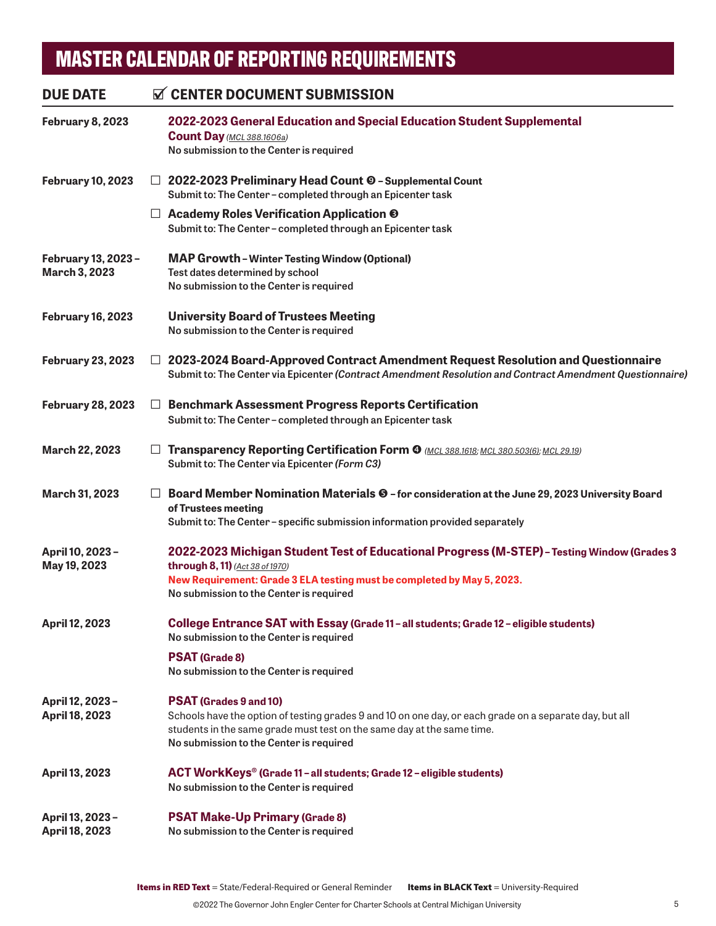## **February 8, 2023 2022-2023 General Education and Special Education Student Supplemental Count Day** *[\(MCL 388.1606a\)](http://legislature.mi.gov/doc.aspx?mcl-388-1606a)* **No submission to the Center is required February 10, 2023** □ **2022-2023 Preliminary Head Count – Supplemental Count Submit to: The Center – completed through an Epicenter task**  □ **Academy Roles Verification Application Submit to: The Center – completed through an Epicenter task February 13, 2023 – MAP Growth – Winter Testing Window (Optional) March 3, 2023 Test dates determined by school No submission to the Center is required February 16, 2023 University Board of Trustees Meeting No submission to the Center is required February 23, 2023** □ **2023-2024 Board-Approved Contract Amendment Request Resolution and Questionnaire Submit to: The Center via Epicenter** *[\(Contract Amendment Resolution](https://www.thecenterforcharters.org/resource-center/administration/master-calendar-of-reporting-requirements/) and [Contract Amendment Questionnaire](https://www.thecenterforcharters.org/wp-content/uploads/2020/10/CONTRACT-AMENDMENT-REQUEST-QUESTIONNAIRE.docx))* **February 28, 2023** □ **Benchmark Assessment Progress Reports Certification Submit to: The Center – completed through an Epicenter task March 22, 2023** □ **Transparency Reporting Certification Form**  *[\(MCL 388.1618](http://www.legislature.mi.gov/(S(bcsewjd45avebjierp2c3dpb))/mileg.aspx?page=getObject&objectName=mcl-388-1618); [MCL 380.503\(6\)](http://www.legislature.mi.gov/(S(kraoa1kh03oympgamjdrw4tu))/mileg.aspx?page=getObject&objectName=mcl-380-503); [MCL 29.19](http://www.legislature.mi.gov/(S(3ub4jhgimqfkrh4krnjsdbvw))/mileg.aspx?page=GetObject&objectname=mcl-29-19))* **Submit to: The Center via Epicenter** *[\(Form C3\)](https://www.thecenterforcharters.org/resource-center/administration/master-calendar-of-reporting-requirements/)* **March 31, 2023** □ **Board Member Nomination Materials – for consideration at the June 29, 2023 University Board of Trustees meeting Submit to: The Center – specific submission information provided separately April 10, 2023 – 2022-2023 Michigan Student Test of Educational Progress (M-STEP) – Testing Window (Grades 3 May 19, 2023 through 8, 11)** *[\(Act 38 of 1970\)](http://www.legislature.mi.gov/(S(fmlnqmoannpneu5gjngp4qr1))/mileg.aspx?page=getObject&objectName=mcl-Act-38-of-1970)*  **New Requirement: Grade 3 ELA testing must be completed by May 5, 2023. No submission to the Center is required April 12, 2023 College Entrance SAT with Essay (Grade 11 – all students; Grade 12 – eligible students) No submission to the Center is required PSAT (Grade 8) No submission to the Center is required April 12, 2023 – PSAT (Grades 9 and 10) April 18, 2023** Schools have the option of testing grades 9 and 10 on one day, or each grade on a separate day, but all students in the same grade must test on the same day at the same time. **No submission to the Center is required April 13, 2023 ACT WorkKeys® (Grade 11 – all students; Grade 12 – eligible students) No submission to the Center is required April 13, 2023 – PSAT Make-Up Primary (Grade 8) April 18, 2023 No submission to the Center is required** DUE DATE **CENTER DOCUMENT SUBMISSION**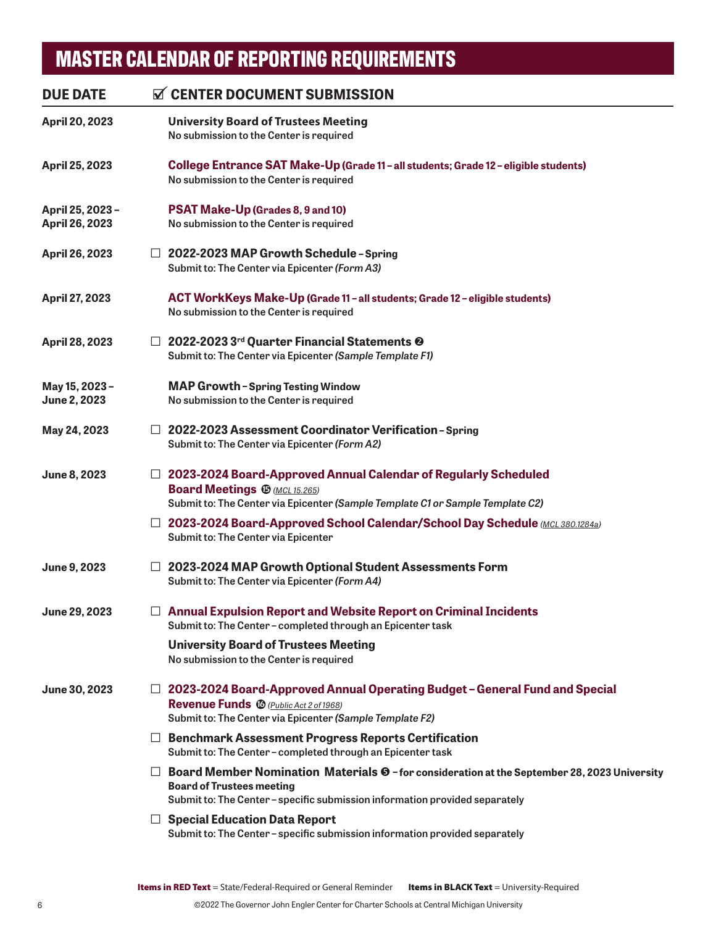## **April 20, 2023 University Board of Trustees Meeting No submission to the Center is required April 25, 2023 College Entrance SAT Make-Up (Grade 11 – all students; Grade 12 – eligible students) No submission to the Center is required April 25, 2023 – PSAT Make-Up (Grades 8, 9 and 10) April 26, 2023 No submission to the Center is required April 26, 2023** □ **2022-2023 MAP Growth Schedule – Spring Submit to: The Center via Epicenter** *[\(Form A3\)](https://www.thecenterforcharters.org/resource-center/administration/master-calendar-of-reporting-requirements/)* **April 27, 2023****ACT WorkKeys Make-Up (Grade 11 – all students; Grade 12 – eligible students) No submission to the Center is required April 28, 2023** □ **2022-2023 3rd Quarter Financial Statements Submit to: The Center via Epicenter** *[\(Sample Template F1\)](https://www.thecenterforcharters.org/resource-center/administration/master-calendar-of-reporting-requirements/)* **May 15, 2023 – MAP Growth – Spring Testing Window June 2, 2023 No submission to the Center is required May 24, 2023** □ **2022-2023 Assessment Coordinator Verification – Spring Submit to: The Center via Epicenter** *[\(Form A2\)](https://www.thecenterforcharters.org/resource-center/administration/master-calendar-of-reporting-requirements/)* **June 8, 2023** □ **2023-2024 Board-Approved Annual Calendar of Regularly Scheduled Board Meetings**  $\bigoplus$  **(***MCL [15](#page-8-0).265*) **Submit to: The Center via Epicenter** *[\(Sample Template C1](https://www.thecenterforcharters.org/resource-center/administration/master-calendar-of-reporting-requirements/) or [Sample Template C2](https://www.thecenterforcharters.org/resource-center/administration/master-calendar-of-reporting-requirements/))* □ **2023-2024 Board-Approved School Calendar/School Day Schedule** *[\(MCL 380.1284a\)](http://www.legislature.mi.gov/(S(kyj3phlaksssaanb4sd2dne2))/mileg.aspx?page=getObject&objectName=mcl-380-1284a)* **Submit to: The Center via Epicenter June 9, 2023** □ **2023-2024 MAP Growth Optional Student Assessments Form Submit to: The Center via Epicenter** *[\(Form A4\)](https://www.thecenterforcharters.org/resource-center/administration/master-calendar-of-reporting-requirements/)* **June 29, 2023** □ **Annual Expulsion Report and Website Report on Criminal Incidents Submit to: The Center – completed through an Epicenter task University Board of Trustees Meeting No submission to the Center is required June 30, 2023** □ **2023-2024 Board-Approved Annual Operating Budget – General Fund and Special Revenue Funds** [16](#page-8-0) *[\(Public Act 2 of 1968\)](http://www.legislature.mi.gov/(S(unka0y4hyssxdqzfv4enpvsm))/mileg.aspx?page=getObject&objectName=mcl-Act-2-of-1968)* **Submit to: The Center via Epicenter** *[\(Sample Template F2](https://www.thecenterforcharters.org/resource-center/administration/master-calendar-of-reporting-requirements/))* □ **Benchmark Assessment Progress Reports Certification Submit to: The Center – completed through an Epicenter task** □ **Board Member Nomination Materials ©** - for consideration at the September 28, 2023 University **Board of Trustees meeting Submit to: The Center – specific submission information provided separately** □ **Special Education Data Report Submit to: The Center – specific submission information provided separately** DUE DATE **CENTER DOCUMENT SUBMISSION**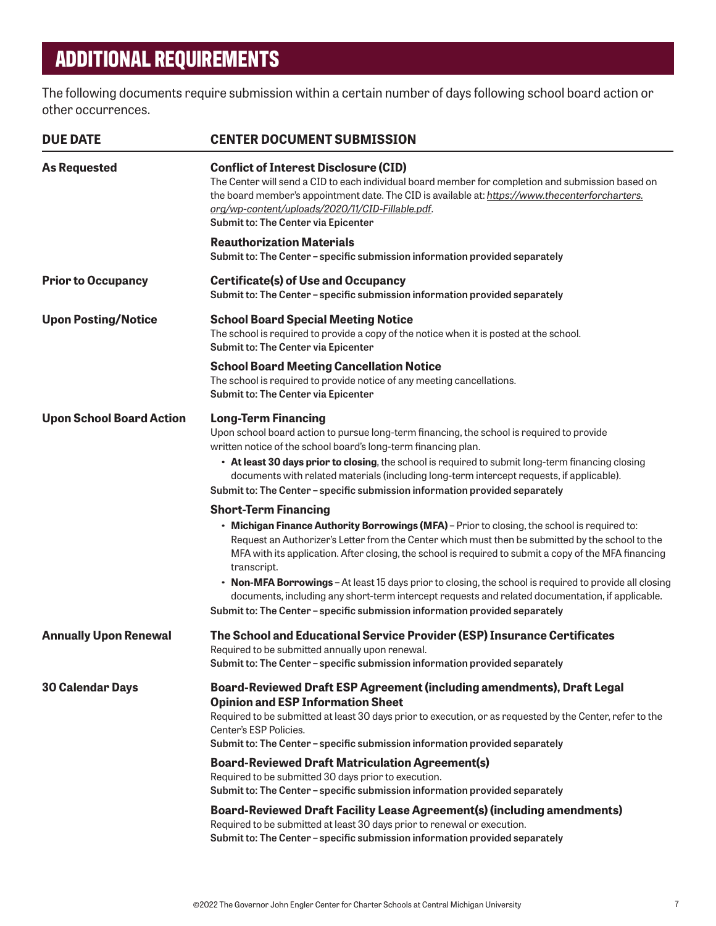## **ADDITIONAL REQUIREMENTS**

The following documents require submission within a certain number of days following school board action or other occurrences.

| <b>DUE DATE</b>                 | <b>CENTER DOCUMENT SUBMISSION</b>                                                                                                                                                                                                                                                                                                               |
|---------------------------------|-------------------------------------------------------------------------------------------------------------------------------------------------------------------------------------------------------------------------------------------------------------------------------------------------------------------------------------------------|
| <b>As Requested</b>             | <b>Conflict of Interest Disclosure (CID)</b><br>The Center will send a CID to each individual board member for completion and submission based on<br>the board member's appointment date. The CID is available at: https://www.thecenterforcharters.<br>org/wp-content/uploads/2020/11/CID-Fillable.pdf.<br>Submit to: The Center via Epicenter |
|                                 | <b>Reauthorization Materials</b><br>Submit to: The Center - specific submission information provided separately                                                                                                                                                                                                                                 |
| <b>Prior to Occupancy</b>       | <b>Certificate(s) of Use and Occupancy</b><br>Submit to: The Center - specific submission information provided separately                                                                                                                                                                                                                       |
| <b>Upon Posting/Notice</b>      | <b>School Board Special Meeting Notice</b><br>The school is required to provide a copy of the notice when it is posted at the school.<br>Submit to: The Center via Epicenter                                                                                                                                                                    |
|                                 | <b>School Board Meeting Cancellation Notice</b><br>The school is required to provide notice of any meeting cancellations.<br>Submit to: The Center via Epicenter                                                                                                                                                                                |
| <b>Upon School Board Action</b> | <b>Long-Term Financing</b><br>Upon school board action to pursue long-term financing, the school is required to provide<br>written notice of the school board's long-term financing plan.                                                                                                                                                       |
|                                 | • At least 30 days prior to closing, the school is required to submit long-term financing closing<br>documents with related materials (including long-term intercept requests, if applicable).<br>Submit to: The Center - specific submission information provided separately                                                                   |
|                                 | <b>Short-Term Financing</b>                                                                                                                                                                                                                                                                                                                     |
|                                 | . Michigan Finance Authority Borrowings (MFA) - Prior to closing, the school is required to:<br>Request an Authorizer's Letter from the Center which must then be submitted by the school to the<br>MFA with its application. After closing, the school is required to submit a copy of the MFA financing<br>transcript.                        |
|                                 | • Non-MFA Borrowings - At least 15 days prior to closing, the school is required to provide all closing<br>documents, including any short-term intercept requests and related documentation, if applicable.                                                                                                                                     |
|                                 | Submit to: The Center - specific submission information provided separately                                                                                                                                                                                                                                                                     |
| <b>Annually Upon Renewal</b>    | The School and Educational Service Provider (ESP) Insurance Certificates<br>Required to be submitted annually upon renewal.                                                                                                                                                                                                                     |
|                                 | Submit to: The Center - specific submission information provided separately                                                                                                                                                                                                                                                                     |
| <b>30 Calendar Days</b>         | Board-Reviewed Draft ESP Agreement (including amendments), Draft Legal                                                                                                                                                                                                                                                                          |
|                                 | <b>Opinion and ESP Information Sheet</b><br>Required to be submitted at least 30 days prior to execution, or as requested by the Center, refer to the<br>Center's ESP Policies.                                                                                                                                                                 |
|                                 | Submit to: The Center - specific submission information provided separately                                                                                                                                                                                                                                                                     |
|                                 | <b>Board-Reviewed Draft Matriculation Agreement(s)</b><br>Required to be submitted 30 days prior to execution.<br>Submit to: The Center - specific submission information provided separately                                                                                                                                                   |
|                                 | Board-Reviewed Draft Facility Lease Agreement(s) (including amendments)<br>Required to be submitted at least 30 days prior to renewal or execution.<br>Submit to: The Center - specific submission information provided separately                                                                                                              |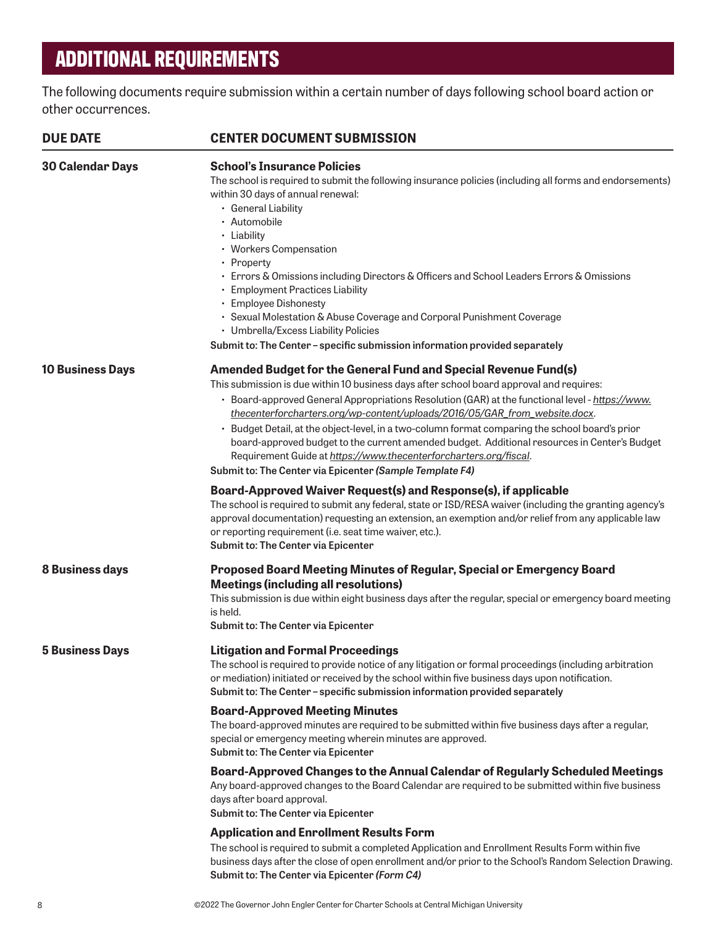## **ADDITIONAL REQUIREMENTS**

The following documents require submission within a certain number of days following school board action or other occurrences.

| <b>DUE DATE</b>         | <b>CENTER DOCUMENT SUBMISSION</b>                                                                                                                                                                                                                                                                                                                                                                                                                                                                                                                                                                                                                                                                                                                                                                                                                                                                                                                                                                                                                                                                                                                                      |
|-------------------------|------------------------------------------------------------------------------------------------------------------------------------------------------------------------------------------------------------------------------------------------------------------------------------------------------------------------------------------------------------------------------------------------------------------------------------------------------------------------------------------------------------------------------------------------------------------------------------------------------------------------------------------------------------------------------------------------------------------------------------------------------------------------------------------------------------------------------------------------------------------------------------------------------------------------------------------------------------------------------------------------------------------------------------------------------------------------------------------------------------------------------------------------------------------------|
| <b>30 Calendar Days</b> | <b>School's Insurance Policies</b><br>The school is required to submit the following insurance policies (including all forms and endorsements)<br>within 30 days of annual renewal:<br>• General Liability<br>• Automobile<br>• Liability<br>• Workers Compensation<br>• Property<br>• Errors & Omissions including Directors & Officers and School Leaders Errors & Omissions<br>• Employment Practices Liability<br>• Employee Dishonesty<br>• Sexual Molestation & Abuse Coverage and Corporal Punishment Coverage<br>• Umbrella/Excess Liability Policies<br>Submit to: The Center - specific submission information provided separately                                                                                                                                                                                                                                                                                                                                                                                                                                                                                                                           |
| <b>10 Business Days</b> | Amended Budget for the General Fund and Special Revenue Fund(s)<br>This submission is due within 10 business days after school board approval and requires:<br>· Board-approved General Appropriations Resolution (GAR) at the functional level - https://www.<br>thecenterforcharters.org/wp-content/uploads/2016/05/GAR_from_website.docx.<br>· Budget Detail, at the object-level, in a two-column format comparing the school board's prior<br>board-approved budget to the current amended budget. Additional resources in Center's Budget<br>Requirement Guide at https://www.thecenterforcharters.org/fiscal.<br>Submit to: The Center via Epicenter (Sample Template F4)<br>Board-Approved Waiver Request(s) and Response(s), if applicable<br>The school is required to submit any federal, state or ISD/RESA waiver (including the granting agency's<br>approval documentation) requesting an extension, an exemption and/or relief from any applicable law<br>or reporting requirement (i.e. seat time waiver, etc.).<br>Submit to: The Center via Epicenter                                                                                                |
| <b>8 Business days</b>  | Proposed Board Meeting Minutes of Regular, Special or Emergency Board<br><b>Meetings (including all resolutions)</b><br>This submission is due within eight business days after the regular, special or emergency board meeting<br>is held.<br>Submit to: The Center via Epicenter                                                                                                                                                                                                                                                                                                                                                                                                                                                                                                                                                                                                                                                                                                                                                                                                                                                                                     |
| <b>5 Business Days</b>  | <b>Litigation and Formal Proceedings</b><br>The school is required to provide notice of any litigation or formal proceedings (including arbitration<br>or mediation) initiated or received by the school within five business days upon notification.<br>Submit to: The Center - specific submission information provided separately<br><b>Board-Approved Meeting Minutes</b><br>The board-approved minutes are required to be submitted within five business days after a regular,<br>special or emergency meeting wherein minutes are approved.<br>Submit to: The Center via Epicenter<br>Board-Approved Changes to the Annual Calendar of Regularly Scheduled Meetings<br>Any board-approved changes to the Board Calendar are required to be submitted within five business<br>days after board approval.<br>Submit to: The Center via Epicenter<br><b>Application and Enrollment Results Form</b><br>The school is required to submit a completed Application and Enrollment Results Form within five<br>business days after the close of open enrollment and/or prior to the School's Random Selection Drawing.<br>Submit to: The Center via Epicenter (Form C4) |